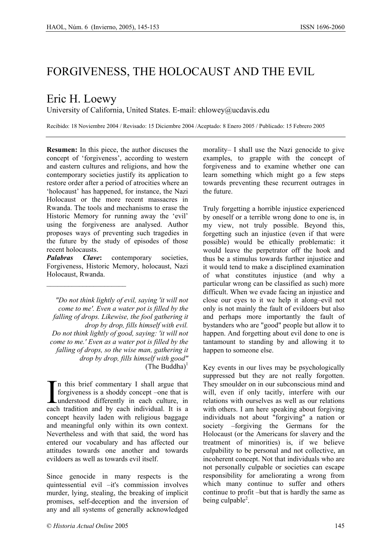## FORGIVENESS, THE HOLOCAUST AND THE EVIL

Eric H. Loewy

University of California, United States. E-mail: ehlowey@ucdavis.edu

Recibido: 18 Noviembre 2004 / Revisado: 15 Diciembre 2004 /Aceptado: 8 Enero 2005 / Publicado: 15 Febrero 2005

**Resumen:** In this piece, the author discuses the concept of 'forgiveness', according to western and eastern cultures and religions, and how the contemporary societies justify its application to restore order after a period of atrocities where an 'holocaust' has happened, for instance, the Nazi Holocaust or the more recent massacres in Rwanda. The tools and mechanisms to erase the Historic Memory for running away the 'evil' using the forgiveness are analysed. Author proposes ways of preventing such tragedies in the future by the study of episodes of those recent holocausts.

*Palabras Clave*: contemporary societies, Forgiveness, Historic Memory, holocaust, Nazi Holocaust, Rwanda.

 $\mathcal{L}_\text{max}$ 

*"Do not think lightly of evil, saying 'it will not come to me'. Even a water pot is filled by the falling of drops. Likewise, the fool gathering it drop by drop, fills himself with evil. Do not think lightly of good, saying: 'it will not come to me.' Even as a water pot is filled by the falling of drops, so the wise man, gathering it drop by drop, fills himself with good"* (The Buddha) $<sup>1</sup>$ </sup>

n this brief commentary I shall argue that forgiveness is a shoddy concept –one that is In this brief commentary I shall argue that<br>forgiveness is a shoddy concept –one that is<br>understood differently in each culture, in<br>each tradition and by each individual It is a each tradition and by each individual. It is a concept heavily laden with religious baggage and meaningful only within its own context. Nevertheless and with that said, the word has entered our vocabulary and has affected our attitudes towards one another and towards evildoers as well as towards evil itself.

Since genocide in many respects is the quintessential evil –it's commission involves murder, lying, stealing, the breaking of implicit promises, self-deception and the inversion of any and all systems of generally acknowledged

morality– I shall use the Nazi genocide to give examples, to grapple with the concept of forgiveness and to examine whether one can learn something which might go a few steps towards preventing these recurrent outrages in the future.

Truly forgetting a horrible injustice experienced by oneself or a terrible wrong done to one is, in my view, not truly possible. Beyond this, forgetting such an injustice (even if that were possible) would be ethically problematic: it would leave the perpetrator off the hook and thus be a stimulus towards further injustice and it would tend to make a disciplined examination of what constitutes injustice (and why a particular wrong can be classified as such) more difficult. When we evade facing an injustice and close our eyes to it we help it along–evil not only is not mainly the fault of evildoers but also and perhaps more importantly the fault of bystanders who are "good" people but allow it to happen. And forgetting about evil done to one is tantamount to standing by and allowing it to happen to someone else.

Key events in our lives may be psychologically suppressed but they are not really forgotten. They smoulder on in our subconscious mind and will, even if only tacitly, interfere with our relations with ourselves as well as our relations with others. I am here speaking about forgiving individuals not about "forgiving" a nation or society –forgiving the Germans for the Holocaust (or the Americans for slavery and the treatment of minorities) is, if we believe culpability to be personal and not collective, an incoherent concept. Not that individuals who are not personally culpable or societies can escape responsibility for ameliorating a wrong from which many continue to suffer and others continue to profit –but that is hardly the same as being culpable<sup>2</sup>.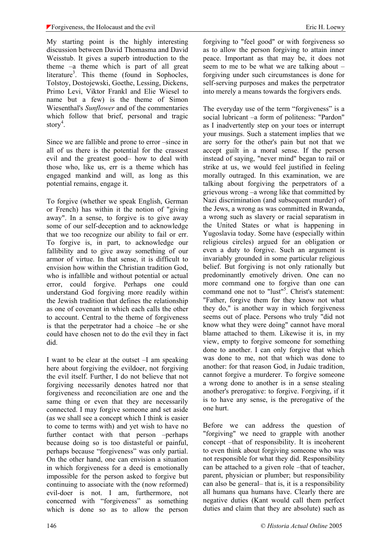My starting point is the highly interesting discussion between David Thomasma and David Weisstub. It gives a superb introduction to the theme –a theme which is part of all great literature<sup>3</sup>. This theme (found in Sophocles, Tolstoy, Dostojewski, Goethe, Lessing, Dickens, Primo Levi, Viktor Frankl and Elie Wiesel to name but a few) is the theme of Simon Wiesenthal's *Sunflower* and of the commentaries which follow that brief, personal and tragic story<sup>4</sup>.

Since we are fallible and prone to error –since in all of us there is the potential for the crassest evil and the greatest good– how to deal with those who, like us, err is a theme which has engaged mankind and will, as long as this potential remains, engage it.

To forgive (whether we speak English, German or French) has within it the notion of "giving away". In a sense, to forgive is to give away some of our self-deception and to acknowledge that we too recognize our ability to fail or err. To forgive is, in part, to acknowledge our fallibility and to give away something of our armor of virtue. In that sense, it is difficult to envision how within the Christian tradition God, who is infallible and without potential or actual error, could forgive. Perhaps one could understand God forgiving more readily within the Jewish tradition that defines the relationship as one of covenant in which each calls the other to account. Central to the theme of forgiveness is that the perpetrator had a choice –he or she could have chosen not to do the evil they in fact did.

I want to be clear at the outset –I am speaking here about forgiving the evildoer, not forgiving the evil itself. Further, I do not believe that not forgiving necessarily denotes hatred nor that forgiveness and reconciliation are one and the same thing or even that they are necessarily connected. I may forgive someone and set aside (as we shall see a concept which I think is easier to come to terms with) and yet wish to have no further contact with that person –perhaps because doing so is too distasteful or painful, perhaps because "forgiveness" was only partial. On the other hand, one can envision a situation in which forgiveness for a deed is emotionally impossible for the person asked to forgive but continuing to associate with the (now reformed) evil-doer is not. I am, furthermore, not concerned with "forgiveness" as something which is done so as to allow the person

forgiving to "feel good" or with forgiveness so as to allow the person forgiving to attain inner peace. Important as that may be, it does not seem to me to be what we are talking about – forgiving under such circumstances is done for self-serving purposes and makes the perpetrator into merely a means towards the forgivers ends.

The everyday use of the term "forgiveness" is a social lubricant –a form of politeness: "Pardon" as I inadvertently step on your toes or interrupt your musings. Such a statement implies that we are sorry for the other's pain but not that we accept guilt in a moral sense. If the person instead of saying, "never mind" began to rail or strike at us, we would feel justified in feeling morally outraged. In this examination, we are talking about forgiving the perpetrators of a grievous wrong –a wrong like that committed by Nazi discrimination (and subsequent murder) of the Jews, a wrong as was committed in Rwanda, a wrong such as slavery or racial separatism in the United States or what is happening in Yugoslavia today. Some have (especially within religious circles) argued for an obligation or even a duty to forgive. Such an argument is invariably grounded in some particular religious belief. But forgiving is not only rationally but predominantly emotively driven. One can no more command one to forgive than one can command one not to "lust"<sup>5</sup>. Christ's statement: "Father, forgive them for they know not what they do," is another way in which forgiveness seems out of place. Persons who truly "did not know what they were doing" cannot have moral blame attached to them. Likewise it is, in my view, empty to forgive someone for something done to another. I can only forgive that which was done to me, not that which was done to another: for that reason God, in Judaic tradition, cannot forgive a murderer. To forgive someone a wrong done to another is in a sense stealing another's prerogative: to forgive. Forgiving, if it is to have any sense, is the prerogative of the one hurt.

Before we can address the question of "forgiving" we need to grapple with another concept –that of responsibility. It is incoherent to even think about forgiving someone who was not responsible for what they did. Responsibility can be attached to a given role –that of teacher, parent, physician or plumber; but responsibility can also be general– that is, it is a responsibility all humans qua humans have. Clearly there are negative duties (Kant would call them perfect duties and claim that they are absolute) such as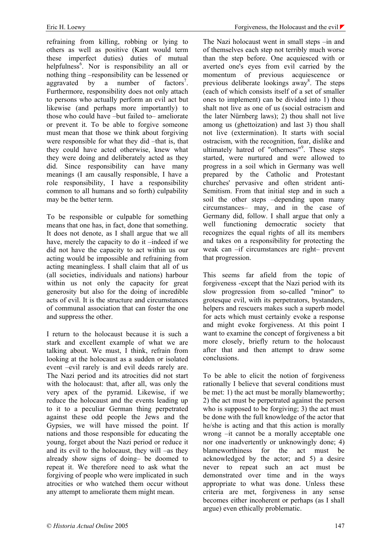refraining from killing, robbing or lying to others as well as positive (Kant would term these imperfect duties) duties of mutual helpfulness<sup>6</sup>. Nor is responsibility an all or nothing thing –responsibility can be lessened or aggravated by a number of factors<sup>7</sup>. Furthermore, responsibility does not only attach to persons who actually perform an evil act but likewise (and perhaps more importantly) to those who could have –but failed to– ameliorate or prevent it. To be able to forgive someone must mean that those we think about forgiving were responsible for what they did –that is, that they could have acted otherwise, knew what they were doing and deliberately acted as they did. Since responsibility can have many meanings (I am causally responsible, I have a role responsibility, I have a responsibility common to all humans and so forth) culpability may be the better term.

To be responsible or culpable for something means that one has, in fact, done that something. It does not denote, as I shall argue that we all have, merely the capacity to do it –indeed if we did not have the capacity to act within us our acting would be impossible and refraining from acting meaningless. I shall claim that all of us (all societies, individuals and nations) harbour within us not only the capacity for great generosity but also for the doing of incredible acts of evil. It is the structure and circumstances of communal association that can foster the one and suppress the other.

I return to the holocaust because it is such a stark and excellent example of what we are talking about. We must, I think, refrain from looking at the holocaust as a sudden or isolated event –evil rarely is and evil deeds rarely are. The Nazi period and its atrocities did not start with the holocaust: that, after all, was only the very apex of the pyramid. Likewise, if we reduce the holocaust and the events leading up to it to a peculiar German thing perpetrated against these odd people the Jews and the Gypsies, we will have missed the point. If nations and those responsible for educating the young, forget about the Nazi period or reduce it and its evil to the holocaust, they will –as they already show signs of doing– be doomed to repeat it. We therefore need to ask what the forgiving of people who were implicated in such atrocities or who watched them occur without any attempt to ameliorate them might mean.

The Nazi holocaust went in small steps –in and of themselves each step not terribly much worse than the step before. One acquiesced with or averted one's eyes from evil carried by the momentum of previous acquiescence or previous deliberate lookings away<sup>8</sup>. The steps (each of which consists itself of a set of smaller ones to implement) can be divided into 1) thou shalt not live as one of us (social ostracism and the later Nürnberg laws); 2) thou shall not live among us (ghettoization) and last 3) thou shall not live (extermination). It starts with social ostracism, with the recognition, fear, dislike and ultimately hatred of "otherness"<sup>9</sup>. These steps started, were nurtured and were allowed to progress in a soil which in Germany was well prepared by the Catholic and Protestant churches' pervasive and often strident anti-Semitism. From that initial step and in such a soil the other steps –depending upon many circumstances– may, and in the case of Germany did, follow. I shall argue that only a well functioning democratic society that recognizes the equal rights of all its members and takes on a responsibility for protecting the weak can –if circumstances are right– prevent that progression.

This seems far afield from the topic of forgiveness -except that the Nazi period with its slow progression from so-called "minor" to grotesque evil, with its perpetrators, bystanders, helpers and rescuers makes such a superb model for acts which must certainly evoke a response and might evoke forgiveness. At this point I want to examine the concept of forgiveness a bit more closely, briefly return to the holocaust after that and then attempt to draw some conclusions.

To be able to elicit the notion of forgiveness rationally I believe that several conditions must be met: 1) the act must be morally blameworthy; 2) the act must be perpetrated against the person who is supposed to be forgiving; 3) the act must be done with the full knowledge of the actor that he/she is acting and that this action is morally wrong –it cannot be a morally acceptable one nor one inadvertently or unknowingly done; 4) blameworthiness for the act must be acknowledged by the actor; and 5) a desire never to repeat such an act must be demonstrated over time and in the ways appropriate to what was done. Unless these criteria are met, forgiveness in any sense becomes either incoherent or perhaps (as I shall argue) even ethically problematic.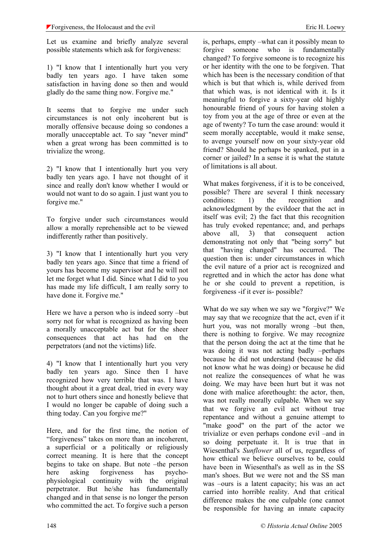Let us examine and briefly analyze several possible statements which ask for forgiveness:

1) "I know that I intentionally hurt you very badly ten years ago. I have taken some satisfaction in having done so then and would gladly do the same thing now. Forgive me."

It seems that to forgive me under such circumstances is not only incoherent but is morally offensive because doing so condones a morally unacceptable act. To say "never mind" when a great wrong has been committed is to trivialize the wrong.

2) "I know that I intentionally hurt you very badly ten years ago. I have not thought of it since and really don't know whether I would or would not want to do so again. I just want you to forgive me."

To forgive under such circumstances would allow a morally reprehensible act to be viewed indifferently rather than positively.

3) "I know that I intentionally hurt you very badly ten years ago. Since that time a friend of yours has become my supervisor and he will not let me forget what I did. Since what I did to you has made my life difficult, I am really sorry to have done it. Forgive me."

Here we have a person who is indeed sorry –but sorry not for what is recognized as having been a morally unacceptable act but for the sheer consequences that act has had on the perpetrators (and not the victims) life.

4) "I know that I intentionally hurt you very badly ten years ago. Since then I have recognized how very terrible that was. I have thought about it a great deal, tried in every way not to hurt others since and honestly believe that I would no longer be capable of doing such a thing today. Can you forgive me?"

Here, and for the first time, the notion of "forgiveness" takes on more than an incoherent, a superficial or a politically or religiously correct meaning. It is here that the concept begins to take on shape. But note –the person here asking forgiveness has psychophysiological continuity with the original perpetrator. But he/she has fundamentally changed and in that sense is no longer the person who committed the act. To forgive such a person

is, perhaps, empty –what can it possibly mean to forgive someone who is fundamentally changed? To forgive someone is to recognize his or her identity with the one to be forgiven. That which has been is the necessary condition of that which is but that which is, while derived from that which was, is not identical with it. Is it meaningful to forgive a sixty-year old highly honourable friend of yours for having stolen a toy from you at the age of three or even at the age of twenty? To turn the case around: would it seem morally acceptable, would it make sense, to avenge yourself now on your sixty-year old friend? Should he perhaps be spanked, put in a corner or jailed? In a sense it is what the statute of limitations is all about.

What makes forgiveness, if it is to be conceived, possible? There are several I think necessary conditions: 1) the recognition and acknowledgment by the evildoer that the act in itself was evil; 2) the fact that this recognition has truly evoked repentance; and, and perhaps above all, 3) that consequent action demonstrating not only that "being sorry" but that "having changed" has occurred. The question then is: under circumstances in which the evil nature of a prior act is recognized and regretted and in which the actor has done what he or she could to prevent a repetition, is forgiveness -if it ever is- possible?

What do we say when we say we "forgive?" We may say that we recognize that the act, even if it hurt you, was not morally wrong –but then, there is nothing to forgive. We may recognize that the person doing the act at the time that he was doing it was not acting badly –perhaps because he did not understand (because he did not know what he was doing) or because he did not realize the consequences of what he was doing. We may have been hurt but it was not done with malice aforethought: the actor, then, was not really morally culpable. When we say that we forgive an evil act without true repentance and without a genuine attempt to "make good" on the part of the actor we trivialize or even perhaps condone evil –and in so doing perpetuate it. It is true that in Wiesenthal's *Sunflower* all of us, regardless of how ethical we believe ourselves to be, could have been in Wiesenthal's as well as in the SS man's shoes. But we were not and the SS man was –ours is a latent capacity; his was an act carried into horrible reality. And that critical difference makes the one culpable (one cannot be responsible for having an innate capacity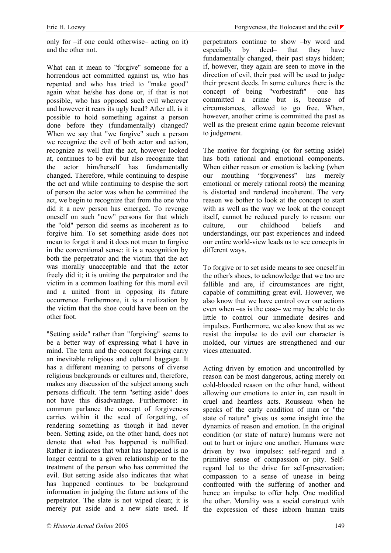only for –if one could otherwise– acting on it) and the other not.

What can it mean to "forgive" someone for a horrendous act committed against us, who has repented and who has tried to "make good" again what he/she has done or, if that is not possible, who has opposed such evil wherever and however it rears its ugly head? After all, is it possible to hold something against a person done before they (fundamentally) changed? When we say that "we forgive" such a person we recognize the evil of both actor and action, recognize as well that the act, however looked at, continues to be evil but also recognize that the actor him/herself has fundamentally changed. Therefore, while continuing to despise the act and while continuing to despise the sort of person the actor was when he committed the act, we begin to recognize that from the one who did it a new person has emerged. To revenge oneself on such "new" persons for that which the "old" person did seems as incoherent as to forgive him. To set something aside does not mean to forget it and it does not mean to forgive in the conventional sense: it is a recognition by both the perpetrator and the victim that the act was morally unacceptable and that the actor freely did it; it is uniting the perpetrator and the victim in a common loathing for this moral evil and a united front in opposing its future occurrence. Furthermore, it is a realization by the victim that the shoe could have been on the other foot.

"Setting aside" rather than "forgiving" seems to be a better way of expressing what I have in mind. The term and the concept forgiving carry an inevitable religious and cultural baggage. It has a different meaning to persons of diverse religious backgrounds or cultures and, therefore, makes any discussion of the subject among such persons difficult. The term "setting aside" does not have this disadvantage. Furthermore: in common parlance the concept of forgiveness carries within it the seed of forgetting, of rendering something as though it had never been. Setting aside, on the other hand, does not denote that what has happened is nullified. Rather it indicates that what has happened is no longer central to a given relationship or to the treatment of the person who has committed the evil. But setting aside also indicates that what has happened continues to be background information in judging the future actions of the perpetrator. The slate is not wiped clean; it is merely put aside and a new slate used. If perpetrators continue to show –by word and especially by deed– that they have fundamentally changed, their past stays hidden; if, however, they again are seen to move in the direction of evil, their past will be used to judge their present deeds. In some cultures there is the concept of being "vorbestraft" –one has committed a crime but is, because of circumstances, allowed to go free. When, however, another crime is committed the past as well as the present crime again become relevant to judgement.

The motive for forgiving (or for setting aside) has both rational and emotional components. When either reason or emotion is lacking (when our mouthing "forgiveness" has merely emotional or merely rational roots) the meaning is distorted and rendered incoherent. The very reason we bother to look at the concept to start with as well as the way we look at the concept itself, cannot be reduced purely to reason: our culture, our childhood beliefs and understandings, our past experiences and indeed our entire world-view leads us to see concepts in different ways.

To forgive or to set aside means to see oneself in the other's shoes, to acknowledge that we too are fallible and are, if circumstances are right, capable of committing great evil. However, we also know that we have control over our actions even when –as is the case– we may be able to do little to control our immediate desires and impulses. Furthermore, we also know that as we resist the impulse to do evil our character is molded, our virtues are strengthened and our vices attenuated.

Acting driven by emotion and uncontrolled by reason can be most dangerous, acting merely on cold-blooded reason on the other hand, without allowing our emotions to enter in, can result in cruel and heartless acts. Rousseau when he speaks of the early condition of man or "the state of nature" gives us some insight into the dynamics of reason and emotion. In the original condition (or state of nature) humans were not out to hurt or injure one another. Humans were driven by two impulses: self-regard and a primitive sense of compassion or pity. Selfregard led to the drive for self-preservation; compassion to a sense of unease in being confronted with the suffering of another and hence an impulse to offer help. One modified the other. Morality was a social construct with the expression of these inborn human traits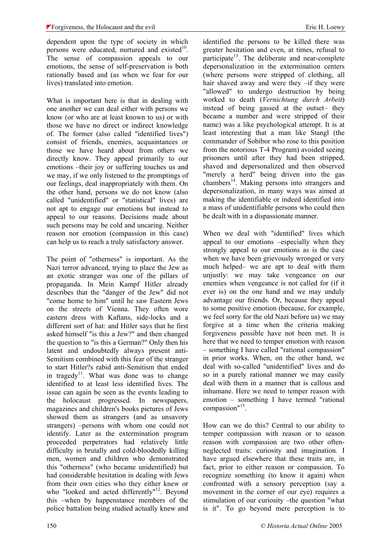dependent upon the type of society in which persons were educated, nurtured and existed $10$ . The sense of compassion appeals to our emotions, the sense of self-preservation is both rationally based and (as when we fear for our lives) translated into emotion.

What is important here is that in dealing with one another we can deal either with persons we know (or who are at least known to us) or with those we have no direct or indirect knowledge of. The former (also called "identified lives") consist of friends, enemies, acquaintances or those we have heard about from others we directly know. They appeal primarily to our emotions –their joy or suffering touches us and we may, if we only listened to the promptings of our feelings, deal inappropriately with them. On the other hand, persons we do not know (also called "unidentified" or "statistical" lives) are not apt to engage our emotions but instead to appeal to our reasons. Decisions made about such persons may be cold and uncaring. Neither reason nor emotion (compassion in this case) can help us to reach a truly satisfactory answer.

The point of "otherness" is important. As the Nazi terror advanced, trying to place the Jew as an exotic stranger was one of the pillars of propaganda. In Mein Kampf Hitler already describes that the "danger of the Jew" did not "come home to him" until he saw Eastern Jews on the streets of Vienna. They often wore eastern dress with Kaftans, side-locks and a different sort of hat: and Hitler says that he first asked himself "is this a Jew?" and then changed the question to "is this a German?" Only then his latent and undoubtedly always present anti-Semitism combined with this fear of the stranger to start Hitler?s rabid anti-Semitism that ended in tragedy<sup>11</sup>. What was done was to change identified to at least less identified lives. The issue can again be seen as the events leading to the holocaust progressed. In newspapers, magazines and children's books pictures of Jews showed them as strangers (and as unsavory strangers) –persons with whom one could not identify. Later as the extermination program proceeded perpetrators had relatively little difficulty in brutally and cold-bloodedly killing men, women and children who demonstrated this "otherness" (who became unidentified) but had considerable hesitation in dealing with Jews from their own cities who they either knew or who "looked and acted differently"<sup>12</sup>. Beyond this –when by happenstance members of the police battalion being studied actually knew and

identified the persons to be killed there was greater hesitation and even, at times, refusal to participate<sup>13</sup>. The deliberate and near-complete depersonalization in the extermination centers (where persons were stripped of clothing, all hair shaved away and were they –if they were "allowed" to undergo destruction by being worked to death (*Vernichtung durch Arbeit*) instead of being gassed at the outset– they became a number and were stripped of their name) was a like psychological attempt. It is at least interesting that a man like Stangl (the commander of Sobibor who rose to this position from the notorious T-4 Program) avoided seeing prisoners until after they had been stripped, shaved and depersonalized and then observed "merely a herd" being driven into the gas  $chambers<sup>14</sup>$ . Making persons into strangers and depersonalization, in many ways was aimed at making the identifiable or indeed identified into a mass of unidentifiable persons who could then be dealt with in a dispassionate manner.

When we deal with "identified" lives which appeal to our emotions –especially when they strongly appeal to our emotions as is the case when we have been grievously wronged or very much helped– we are apt to deal with them unjustly: we may take vengeance on our enemies when vengeance is not called for (if it ever is) on the one hand and we may unduly advantage our friends. Or, because they appeal to some positive emotion (because, for example, we feel sorry for the old Nazi before us) we may forgive at a time when the criteria making forgiveness possible have not been met. It is here that we need to temper emotion with reason – something I have called "rational compassion" in prior works. When, on the other hand, we deal with so-called "unidentified" lives and do so in a purely rational manner we may easily deal with them in a manner that is callous and inhumane. Here we need to temper reason with emotion – something I have termed "rational compassion"15.

How can we do this? Central to our ability to temper compassion with reason or to season reason with compassion are two other oftenneglected traits: curiosity and imagination. I have argued elsewhere that these traits are, in fact, prior to either reason or compassion. To recognize something (to know it again) when confronted with a sensory perception (say a movement in the corner of our eye) requires a stimulation of our curiosity –the question "what is it". To go beyond mere perception is to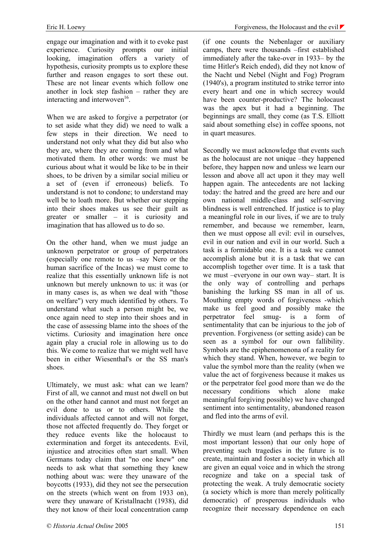engage our imagination and with it to evoke past experience. Curiosity prompts our initial looking, imagination offers a variety of hypothesis, curiosity prompts us to explore these further and reason engages to sort these out. These are not linear events which follow one another in lock step fashion – rather they are interacting and interwoven<sup>16</sup>.

When we are asked to forgive a perpetrator (or to set aside what they did) we need to walk a few steps in their direction. We need to understand not only what they did but also who they are, where they are coming from and what motivated them. In other words: we must be curious about what it would be like to be in their shoes, to be driven by a similar social milieu or a set of (even if erroneous) beliefs. To understand is not to condone; to understand may well be to loath more. But whether our stepping into their shoes makes us see their guilt as greater or smaller – it is curiosity and imagination that has allowed us to do so.

On the other hand, when we must judge an unknown perpetrator or group of perpetrators (especially one remote to us –say Nero or the human sacrifice of the Incas) we must come to realize that this essentially unknown life is not unknown but merely unknown to us: it was (or in many cases is, as when we deal with "those on welfare") very much identified by others. To understand what such a person might be, we once again need to step into their shoes and in the case of assessing blame into the shoes of the victims. Curiosity and imagination here once again play a crucial role in allowing us to do this. We come to realize that we might well have been in either Wiesenthal's or the SS man's shoes.

Ultimately, we must ask: what can we learn? First of all, we cannot and must not dwell on but on the other hand cannot and must not forget an evil done to us or to others. While the individuals affected cannot and will not forget, those not affected frequently do. They forget or they reduce events like the holocaust to extermination and forget its antecedents. Evil, injustice and atrocities often start small. When Germans today claim that "no one knew" one needs to ask what that something they knew nothing about was: were they unaware of the boycotts (1933), did they not see the persecution on the streets (which went on from 1933 on), were they unaware of Kristallnacht (1938), did they not know of their local concentration camp (if one counts the Nebenlager or auxiliary camps, there were thousands –first established immediately after the take-over in 1933– by the time Hitler's Reich ended), did they not know of the Nacht und Nebel (Night and Fog) Program (1940's), a program instituted to strike terror into every heart and one in which secrecy would have been counter-productive? The holocaust was the apex but it had a beginning. The beginnings are small, they come (as T.S. Elliott said about something else) in coffee spoons, not in quart measures.

Secondly we must acknowledge that events such as the holocaust are not unique –they happened before, they happen now and unless we learn our lesson and above all act upon it they may well happen again. The antecedents are not lacking today: the hatred and the greed are here and our own national middle-class and self-serving blindness is well entrenched. If justice is to play a meaningful role in our lives, if we are to truly remember, and because we remember, learn, then we must oppose all evil: evil in ourselves, evil in our nation and evil in our world. Such a task is a formidable one. It is a task we cannot accomplish alone but it is a task that we can accomplish together over time. It is a task that we must –everyone in our own way– start. It is the only way of controlling and perhaps banishing the lurking SS man in all of us. Mouthing empty words of forgiveness -which make us feel good and possibly make the perpetrator feel smug- is a form of sentimentality that can be injurious to the job of prevention. Forgiveness (or setting aside) can be seen as a symbol for our own fallibility. Symbols are the epiphenomenona of a reality for which they stand. When, however, we begin to value the symbol more than the reality (when we value the act of forgiveness because it makes us or the perpetrator feel good more than we do the necessary conditions which alone make meaningful forgiving possible) we have changed sentiment into sentimentality, abandoned reason and fled into the arms of evil.

Thirdly we must learn (and perhaps this is the most important lesson) that our only hope of preventing such tragedies in the future is to create, maintain and foster a society in which all are given an equal voice and in which the strong recognize and take on a special task of protecting the weak. A truly democratic society (a society which is more than merely politically democratic) of prosperous individuals who recognize their necessary dependence on each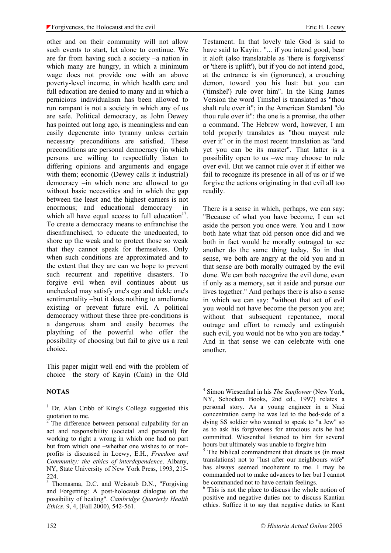other and on their community will not allow such events to start, let alone to continue. We are far from having such a society –a nation in which many are hungry, in which a minimum wage does not provide one with an above poverty-level income, in which health care and full education are denied to many and in which a pernicious individualism has been allowed to run rampant is not a society in which any of us are safe. Political democracy, as John Dewey has pointed out long ago, is meaningless and can easily degenerate into tyranny unless certain necessary preconditions are satisfied. These preconditions are personal democracy (in which persons are willing to respectfully listen to differing opinions and arguments and engage with them; economic (Dewey calls it industrial) democracy –in which none are allowed to go without basic necessities and in which the gap between the least and the highest earners is not enormous; and educational democracy– in which all have equal access to full education $17$ . To create a democracy means to enfranchise the disenfranchised, to educate the uneducated, to shore up the weak and to protect those so weak that they cannot speak for themselves. Only when such conditions are approximated and to the extent that they are can we hope to prevent such recurrent and repetitive disasters. To forgive evil when evil continues about us unchecked may satisfy one's ego and tickle one's sentimentality –but it does nothing to ameliorate existing or prevent future evil. A political democracy without these three pre-conditions is a dangerous sham and easily becomes the plaything of the powerful who offer the possibility of choosing but fail to give us a real choice.

This paper might well end with the problem of choice –the story of Kayin (Cain) in the Old

## **NOTAS**

<sup>1</sup> Dr. Alan Cribb of King's College suggested this

quotation to me.<br><sup>2</sup> The difference between personal culpability for an act and responsibility (societal and personal) for working to right a wrong in which one had no part but from which one –whether one wishes to or not– profits is discussed in Loewy, E.H., *Freedom and Community: the ethics of interdependence*. Albany, NY, State University of New York Press, 1993, 215- 224.

<sup>3</sup> Thomasma, D.C. and Weisstub D.N., "Forgiving and Forgetting: A post-holocaust dialogue on the possibility of healing". *Cambridge Quarterly Health Ethics*. 9, 4, (Fall 2000), 542-561.

Testament. In that lovely tale God is said to have said to Kayin:. "... if you intend good, bear it aloft (also translatable as 'there is forgivenss' or 'there is uplift'), but if you do not intend good, at the entrance is sin (ignorance), a crouching demon, toward you his lust: but you can ('timshel') rule over him". In the King James Version the word Timshel is translated as "thou shalt rule over it"; in the American Standard "do thou rule over it": the one is a promise, the other a command. The Hebrew word, however, I am told properly translates as "thou mayest rule over it" or in the most recent translation as "and yet you can be its master". That latter is a possibility open to us –we may choose to rule over evil. But we cannot rule over it if either we fail to recognize its presence in all of us or if we forgive the actions originating in that evil all too readily.

There is a sense in which, perhaps, we can say: "Because of what you have become, I can set aside the person you once were. You and I now both hate what that old person once did and we both in fact would be morally outraged to see another do the same thing today. So in that sense, we both are angry at the old you and in that sense are both morally outraged by the evil done. We can both recognize the evil done, even if only as a memory, set it aside and pursue our lives together." And perhaps there is also a sense in which we can say: "without that act of evil you would not have become the person you are; without that subsequent repentance, moral outrage and effort to remedy and extinguish such evil, you would not be who you are today." And in that sense we can celebrate with one another.

4 Simon Wiesenthal in his *The Sunflower* (New York, NY, Schocken Books, 2nd ed., 1997) relates a personal story. As a young engineer in a Nazi concentration camp he was led to the bed-side of a dying SS soldier who wanted to speak to "a Jew" so as to ask his forgiveness for atrocious acts he had committed. Wiesenthal listened to him for several hours but ultimately was unable to forgive him

<sup>5</sup> The biblical commandment that directs us (in most translations) not to "lust after our neighbours wife" has always seemed incoherent to me. I may be commanded not to make advances to her but I cannot be commanded not to have certain feelings.

6 This is not the place to discuss the whole notion of positive and negative duties nor to discuss Kantian ethics. Suffice it to say that negative duties to Kant